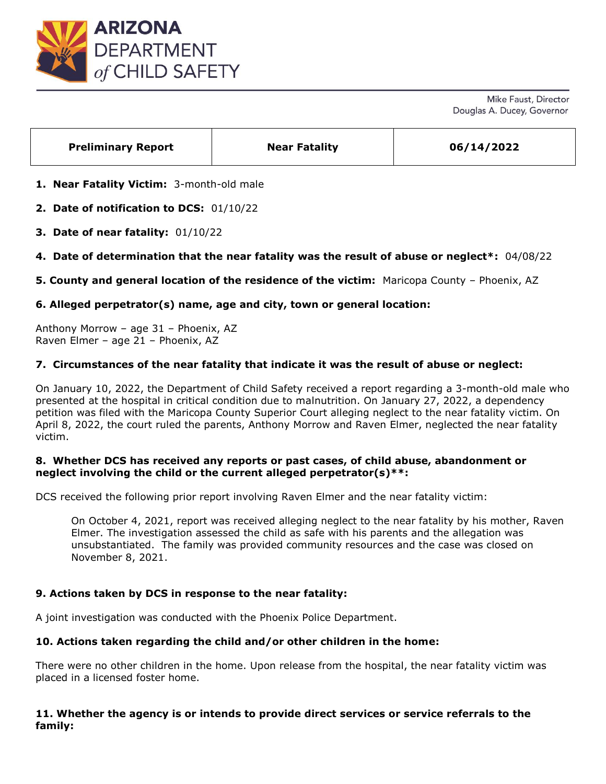

| <b>Preliminary Report</b> | <b>Near Fatality</b> | 06/14/2022 |
|---------------------------|----------------------|------------|
|                           |                      |            |

- **1. Near Fatality Victim:** 3-month-old male
- **2. Date of notification to DCS:** 01/10/22
- **3. Date of near fatality:** 01/10/22
- **4. Date of determination that the near fatality was the result of abuse or neglect\*:** 04/08/22
- **5. County and general location of the residence of the victim:** Maricopa County Phoenix, AZ

# **6. Alleged perpetrator(s) name, age and city, town or general location:**

Anthony Morrow – age 31 – Phoenix, AZ Raven Elmer – age 21 – Phoenix, AZ

# **7. Circumstances of the near fatality that indicate it was the result of abuse or neglect:**

On January 10, 2022, the Department of Child Safety received a report regarding a 3-month-old male who presented at the hospital in critical condition due to malnutrition. On January 27, 2022, a dependency petition was filed with the Maricopa County Superior Court alleging neglect to the near fatality victim. On April 8, 2022, the court ruled the parents, Anthony Morrow and Raven Elmer, neglected the near fatality victim.

## **8. Whether DCS has received any reports or past cases, of child abuse, abandonment or neglect involving the child or the current alleged perpetrator(s)\*\*:**

DCS received the following prior report involving Raven Elmer and the near fatality victim:

On October 4, 2021, report was received alleging neglect to the near fatality by his mother, Raven Elmer. The investigation assessed the child as safe with his parents and the allegation was unsubstantiated. The family was provided community resources and the case was closed on November 8, 2021.

# **9. Actions taken by DCS in response to the near fatality:**

A joint investigation was conducted with the Phoenix Police Department.

# **10. Actions taken regarding the child and/or other children in the home:**

There were no other children in the home. Upon release from the hospital, the near fatality victim was placed in a licensed foster home.

# **11. Whether the agency is or intends to provide direct services or service referrals to the family:**